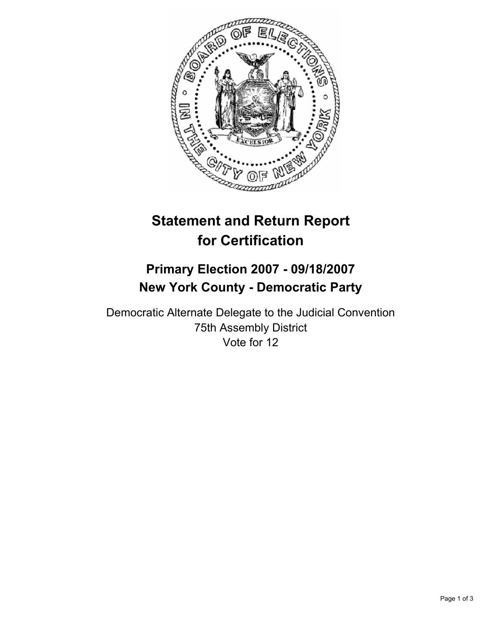

# **Statement and Return Report for Certification**

## **Primary Election 2007 - 09/18/2007 New York County - Democratic Party**

Democratic Alternate Delegate to the Judicial Convention 75th Assembly District Vote for 12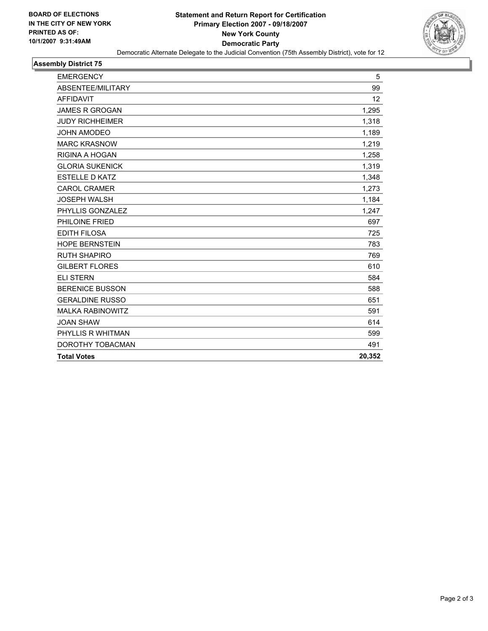

## **Assembly District 75**

| <b>EMERGENCY</b>        | 5      |
|-------------------------|--------|
| ABSENTEE/MILITARY       | 99     |
| <b>AFFIDAVIT</b>        | 12     |
| <b>JAMES R GROGAN</b>   | 1,295  |
| <b>JUDY RICHHEIMER</b>  | 1,318  |
| <b>JOHN AMODEO</b>      | 1,189  |
| <b>MARC KRASNOW</b>     | 1,219  |
| RIGINA A HOGAN          | 1,258  |
| <b>GLORIA SUKENICK</b>  | 1,319  |
| <b>ESTELLE D KATZ</b>   | 1,348  |
| <b>CAROL CRAMER</b>     | 1,273  |
| <b>JOSEPH WALSH</b>     | 1,184  |
| PHYLLIS GONZALEZ        | 1,247  |
| PHILOINE FRIED          | 697    |
| <b>EDITH FILOSA</b>     | 725    |
| <b>HOPE BERNSTEIN</b>   | 783    |
| <b>RUTH SHAPIRO</b>     | 769    |
| <b>GILBERT FLORES</b>   | 610    |
| <b>ELI STERN</b>        | 584    |
| <b>BERENICE BUSSON</b>  | 588    |
| <b>GERALDINE RUSSO</b>  | 651    |
| <b>MALKA RABINOWITZ</b> | 591    |
| <b>JOAN SHAW</b>        | 614    |
| PHYLLIS R WHITMAN       | 599    |
| DOROTHY TOBACMAN        | 491    |
| <b>Total Votes</b>      | 20,352 |